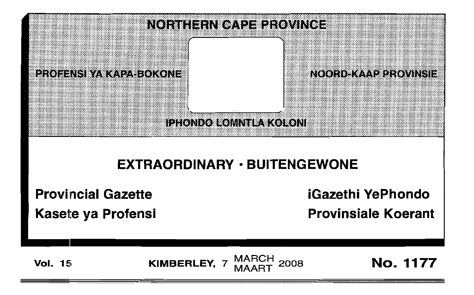

## EXTRAORDINARY · BUITENGEWONE

Provincial Gazette iGazethi YePhondo

Kasete ya Profensi **Kasete ya Provinsiale Koerant** 

Vol. 15 **KIMBERLEY,** 7 MARCH 2008 **No. 1177** 

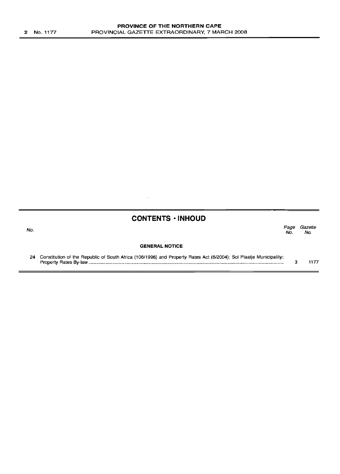| <b>CONTENTS · INHOUD</b> |  |
|--------------------------|--|
|--------------------------|--|

 $\overline{\phantom{a}}$ 

| No. |                       | No. | Page Gazette<br>No. |
|-----|-----------------------|-----|---------------------|
|     | <b>GENERAL NOTICE</b> |     |                     |

24 Constitution of the Republic of South Africa (108/1996) and Property Rates Act (6/2004): Sol Plaatje Municipality: Property Rates By-law . 3 1177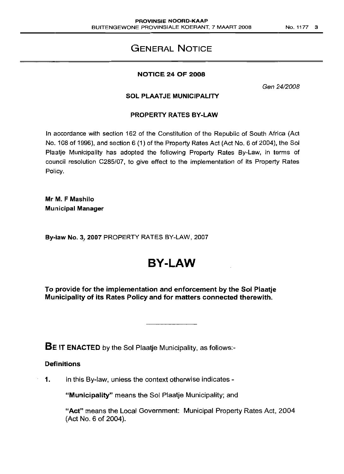### **GENERAL NOTICE**

### **NOTICE 24 OF 2008**

Gen 24/2008

#### **SOL PLAATJE MUNICIPALITY**

### **PROPERTY RATES BY-LAW**

In accordance with section 162 of the Constitution of the Republic of South Africa (Act No. 108 of 1996), and section 6 (1) of the Property Rates Act (Act No. 6 of 2004), the Sol Plaatje Municipality has adopted the following Property Rates By-Law, in terms of council resolution C285/07, to give effect to the implementation of its Property Rates Policy.

**Mr M. F Mashilo Municipal Manager**

**By-law No.3... 2007** PROPERTY RATES BY-LAW, 2007

# **BY-LAW**

**To provide for the implementation and enforcement by the Sol Plaatje** Municipality of **its Rates Policy and for matters connected therewith.**

**BE IT ENACTED** by the Sol Plaatje Municipality, as follows:-

### **Definitions**

**1.** In this By-law, unless the context otherwise indicates -

**"Municipality"** means the Sol Plaatje Municipality; and

**"Act"** means the Local Government: Municipal Property Rates Act, 2004 (Act No. 6 of 2004).